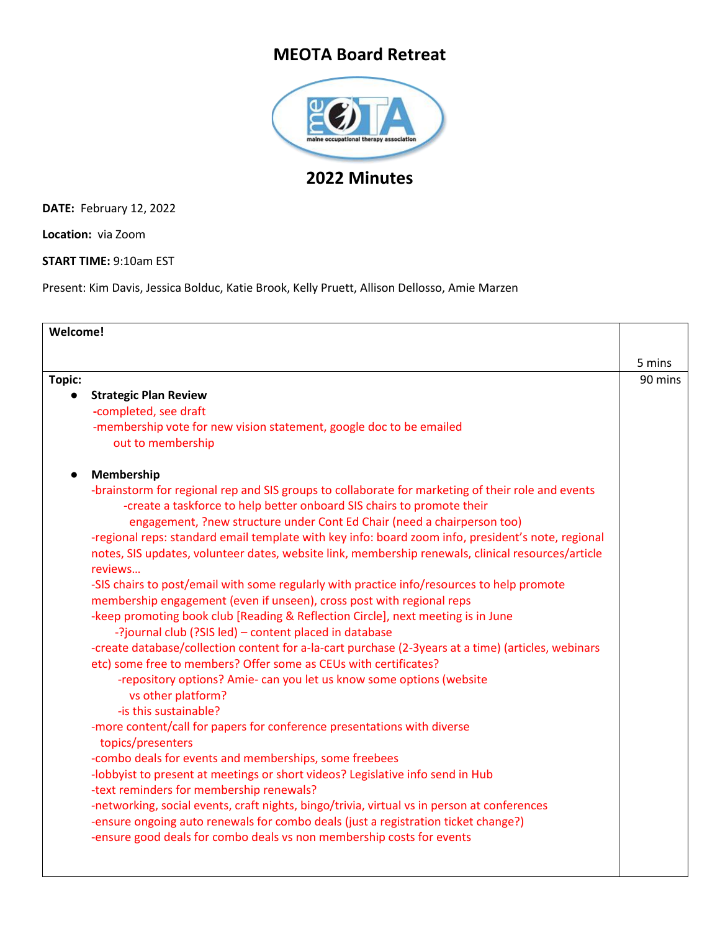## **MEOTA Board Retreat**



## **2022 Minutes**

**DATE:** February 12, 2022

**Location:** via Zoom

**START TIME:** 9:10am EST

Present: Kim Davis, Jessica Bolduc, Katie Brook, Kelly Pruett, Allison Dellosso, Amie Marzen

| Welcome!                                                                                            |         |
|-----------------------------------------------------------------------------------------------------|---------|
|                                                                                                     |         |
|                                                                                                     | 5 mins  |
| Topic:                                                                                              | 90 mins |
| <b>Strategic Plan Review</b>                                                                        |         |
| -completed, see draft                                                                               |         |
| -membership vote for new vision statement, google doc to be emailed                                 |         |
| out to membership                                                                                   |         |
| Membership                                                                                          |         |
| -brainstorm for regional rep and SIS groups to collaborate for marketing of their role and events   |         |
| -create a taskforce to help better onboard SIS chairs to promote their                              |         |
| engagement, ?new structure under Cont Ed Chair (need a chairperson too)                             |         |
| -regional reps: standard email template with key info: board zoom info, president's note, regional  |         |
| notes, SIS updates, volunteer dates, website link, membership renewals, clinical resources/article  |         |
| reviews                                                                                             |         |
| -SIS chairs to post/email with some regularly with practice info/resources to help promote          |         |
| membership engagement (even if unseen), cross post with regional reps                               |         |
| -keep promoting book club [Reading & Reflection Circle], next meeting is in June                    |         |
| -?journal club (?SIS led) - content placed in database                                              |         |
| -create database/collection content for a-la-cart purchase (2-3years at a time) (articles, webinars |         |
| etc) some free to members? Offer some as CEUs with certificates?                                    |         |
| -repository options? Amie- can you let us know some options (website                                |         |
| vs other platform?<br>-is this sustainable?                                                         |         |
|                                                                                                     |         |
| -more content/call for papers for conference presentations with diverse<br>topics/presenters        |         |
| -combo deals for events and memberships, some freebees                                              |         |
| -lobbyist to present at meetings or short videos? Legislative info send in Hub                      |         |
| -text reminders for membership renewals?                                                            |         |
| -networking, social events, craft nights, bingo/trivia, virtual vs in person at conferences         |         |
| -ensure ongoing auto renewals for combo deals (just a registration ticket change?)                  |         |
| -ensure good deals for combo deals vs non membership costs for events                               |         |
|                                                                                                     |         |
|                                                                                                     |         |